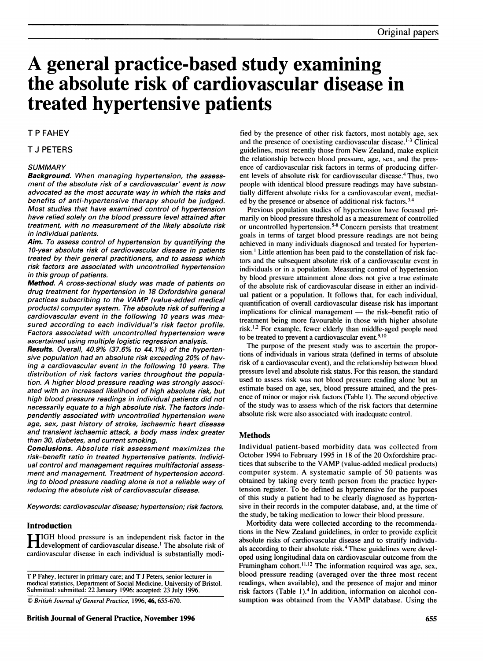# A general practice-based study examining the absolute risk of cardiovascular disease in treated hypertensive patients

### T P FAHEY

#### T J PETERS

#### **SUMMARY**

Background. When managing hypertension, the assessment of the absolute risk of a cardiovascular' event is now advocated as the most accurate way in which the risks and benefits of anti-hypertensive therapy should be judged. Most studies that have examined control of hypertension have relied solely on the blood pressure level attained after treatment, with no measurement of the likely absolute risk in individual patients.

Aim. To assess control of hypertension by quantifying the 10-year absolute risk of cardiovascular disease in patients treated by their general practitioners, and to assess which risk factors are associated with uncontrolled hypertension in this group of patients.

Method. A cross-sectional sludy was made of patients on drug treatment for hypertension in 18 Oxfordshire general practices subscribing to the VAMP (value-added medical products) computer system. The absolute risk of suffering a cardiovascular event in the following 10 years was measured according to each individual's risk factor profile. Factors associated with uncontrolled hypertension were ascertained using multiple logistic regression analysis.

Results. Overall, 40.9% (37.6% to 44. 1%) of the hypertensive population had an absolute risk exceeding 20% of having a cardiovascular event in the following 10 years. The distribution of risk factors varies throughout the population. A higher blood pressure reading was strongly associated with an increased likelihood of high absolute risk, but high blood pressure readings in individual patients did not necessarily equate to a high absolute risk. The factors independently associated with uncontrolled hypertension were age, sex, past history of stroke, ischaemic heart disease and transient ischaemic attack, a body mass index greater than 30, diabetes, and current smoking.

Conclusions. Absolute risk assessment maximizes the risk-benefit ratio in treated hypertensive patients. Individual control and management requires multifactorial assessment and management. Treatment of hypertension according to blood pressure reading alone is not a reliable way of reducing the absolute risk of cardiovascular disease.

Keywords: cardiovascular disease; hypertension; risk factors.

#### Introduction

HIGH blood pressure is an independent risk factor in the **T** development of cardiovascular disease.<sup>1</sup> The absolute risk of cardiovascular disease in each individual is substantially modi-

T P Fahey, lecturer in primary care; and T <sup>J</sup> Peters, senior lecturer in medical statistics, Department of Social Medicine, University of Bristol. Submitted: submitted: 22 January 1996: accepted: 23 July 1996.

C) British Journal of General Practice, 1996, 46, 655-670.

fied by the presence of other risk factors, most notably age, sex and the presence of coexisting cardiovascular disease.<sup>1-3</sup> Clinical guidelines, most recently those from New Zealand, make explicit the relationship between blood pressure, age, sex, and the presence of cardiovascular risk factors in terms of producing different levels of absolute risk for cardiovascular disease.<sup>4</sup> Thus, two people with identical blood pressure readings may have substantially different absolute risks for a cardiovascular event, mediated by the presence or absence of additional risk factors.<sup>3,4</sup>

Previous population studies of hypertension have focused primarily on blood pressure threshold as a measurement of controlled or uncontrolled hypertension.<sup>5-8</sup> Concern persists that treatment goals in terms of target blood pressure readings are not being achieved in many individuals diagnosed and treated for hypertension.' Little attention has been paid to the constellation of risk factors and the subsequent absolute risk of a cardiovascular event in individuals or in a population. Measuring control of hypertension by blood pressure attainment alone does not give a true estimate of the absolute risk of cardiovascular disease in either an individual patient or a population. It follows that, for each individual, quantification of overall cardiovascular disease risk has important implications for clinical management - the risk-benefit ratio of treatment being more favourable in those with higher absolute risk. $^{1,2}$  For example, fewer elderly than middle-aged people need to be treated to prevent a cardiovascular event. $9,10$ 

The purpose of the present study was to ascertain the proportions of individuals in various strata (defined in terms of absolute risk of a cardiovascular event), and the relationship between blood pressure level and absolute risk status. For this reason, the standard used to assess risk was not blood pressure reading alone but an estimate based on age, sex, blood pressure attained, and the presence of minor or major risk factors (Table 1). The second objective of the study was to assess which of the risk factors that determine absolute risk were also associated with inadequate control.

#### Methods

Individual patient-based morbidity data was collected from October 1994 to February 1995 in 18 of the 20 Oxfordshire practices that subscribe to the VAMP (value-added medical products) computer system. A systematic sample of 50 patients was obtained by taking every tenth person from the practice hypertension register. To be defined as hypertensive for the purposes of this study a patient had to be clearly diagnosed as hypertensive in their records in the computer database, and, at the time of the study, be taking medication to lower their blood pressure.

Morbidity data were collected according to the recommendations in the New Zealand guidelines, in order to provide explicit absolute risks of cardiovascular disease and to stratify individuals according to their absolute risk.<sup>4</sup> These guidelines were developed using longitudinal data on cardiovascular outcome from the Framingham cohort.<sup>11,12</sup> The information required was age, sex, blood pressure reading (averaged over the three most recent readings, when available), and the presence of major and minor risk factors (Table 1).<sup>4</sup> In addition, information on alcohol consumption was obtained from the VAMP database. Using the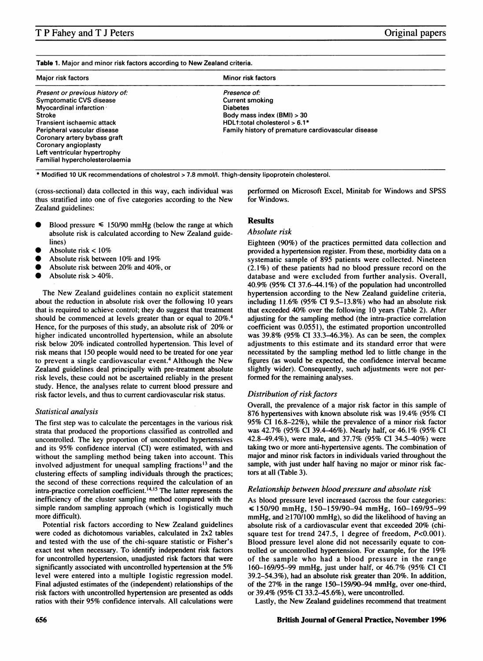|  |  |  |  |  |  | Table 1. Major and minor risk factors according to New Zealand criteria. |
|--|--|--|--|--|--|--------------------------------------------------------------------------|
|--|--|--|--|--|--|--------------------------------------------------------------------------|

| Major risk factors              | Minor risk factors                                 |
|---------------------------------|----------------------------------------------------|
| Present or previous history of: | Presence of:                                       |
| Symptomatic CVS disease         | <b>Current smoking</b>                             |
| Myocardinal infarction          | <b>Diabetes</b>                                    |
| <b>Stroke</b>                   | Body mass index (BMI) > 30                         |
| Transient ischaemic attack      | HDL1:total cholesterol > 6.1*                      |
| Peripheral vascular disease     | Family history of premature cardiovascular disease |
| Coronary artery bybass graft    |                                                    |
| Coronary angioplasty            |                                                    |
| Left ventricular hypertrophy    |                                                    |
| Familial hypercholesterolaemia  |                                                    |

\* Modified <sup>10</sup> UK recommendations of cholestrol > 7.8 mmol/l. thigh-density lipoprotein cholesterol.

(cross-sectional) data collected in this way, each individual was thus stratified into one of five categories according to the New Zealand guidelines:

- Blood pressure  $\leq 150/90$  mmHg (below the range at which absolute risk is calculated according to New Zealand guidelines)
- Absolute risk  $< 10\%$
- Absolute risk between 10% and 19%
- Absolute risk between 20% and 40%, or
- Absolute risk  $> 40\%$ .

The New Zealand guidelines contain no explicit statement about the reduction in absolute risk over the following 10 years that is required to achieve control; they do suggest that treatment should be commenced at levels greater than or equal to 20%.4 Hence, for the purposes of this study, an absolute risk of 20% or higher indicated uncontrolled hypertension, while an absolute risk below 20% indicated controlled hypertension. This level of risk means that 150 people would need to be treated for one year to prevent a single cardiovascular event.<sup>4</sup> Although the New Zealand guidelines deal principally with pre-treatment absolute risk levels, these could not be ascertained reliably in the present study. Hence, the analyses relate to current blood pressure and risk factor levels, and thus to current cardiovascular risk status.

#### Statistical analysis

The first step was to calculate the percentages in the various risk strata that produced the proportions classified as controlled and uncontrolled. The key proportion of uncontrolled hypertensives and its 95% confidence interval (CI) were estimated, with and without the sampling method being taken into account. This involved adjustment for unequal sampling fractions'3 and the clustering effects of sampling individuals through the practices; the second of these corrections required the calculation of an  $intra-practic correlation coefficient.<sup>14,15</sup>$  The latter represents the inefficiency of the cluster sampling method compared with the simple random sampling approach (which is logistically much more difficult).

Potential risk factors according to New Zealand guidelines were coded as dichotomous variables, calculated in 2x2 tables and tested with the use of the chi-square statistic or Fisher's exact test when necessary. To identify independent risk factors for uncontrolled hypertension, unadjusted risk factors that were significantly associated with uncontrolled hypertension at the 5% level were entered into a multiple logistic regression model. Final adjusted estimates of the (independent) relationships of the risk factors with uncontrolled hypertension are presented as odds ratios with their 95% confidence intervals. All calculations were

performed on Microsoft Excel, Minitab for Windows and SPSS for Windows.

#### **Results**

### Absolute risk

Eighteen (90%) of the practices permitted data collection and provided a hypertension register. From these, morbidity data on a systematic sample of 895 patients were collected. Nineteen (2.1%) of these patients had no blood pressure record on the database and were excluded from further analysis. Overall, 40.9% (95% CI 37.6-44.1%) of the population had uncontrolled hypertension according to the New Zealand guideline criteria, including 11.6% (95% CI 9.5-13.8%) who had an absolute risk that exceeded 40% over the following 10 years (Table 2). After adjusting for the sampling method (the intra-practice correlation coefficient was 0.0551), the estimated proportion uncontrolled was 39.8% (95% CI 33.3-46.3%). As can be seen, the complex adjustments to this estimate and its standard error that were necessitated by the sampling method led to little change in the figures (as would be expected, the confidence interval became slightly wider). Consequently, such adjustments were not performed for the remaining analyses.

#### Distribution of risk factors

Overall, the prevalence of a major risk factor in this sample of 876 hypertensives with known absolute risk was 19.4% (95% CI 95% CI 16.8-22%), while the prevalence of a minor risk factor was 42.7% (95% CI 39.4-46%). Nearly half, or 46.1% (95% CI 42.8-49.4%), were male, and 37.7% (95% CI 34.5-40%) were taking two or more anti-hypertensive agents. The combination of major and minor risk factors in individuals varied throughout the sample, with just under half having no major or minor risk factors at all (Table 3).

#### Relationship between blood pressure and absolute risk

As blood pressure level increased (across the four categories: c 150/90 mmHg, 150-159/90-94 mmHg, 160-169/95-99 mmHg, and  $\geq$ 170/100 mmHg), so did the likelihood of having an absolute risk of <sup>a</sup> cardiovascular event that exceeded 20% (chisquare test for trend 247.5, 1 degree of freedom,  $P<0.001$ ). Blood pressure level alone did not necessarily equate to controlled or uncontrolled hypertension. For example, for the 19% of the sample who had <sup>a</sup> blood pressure in the range 160-169/95-99 mmHg, just under half, or 46.7% (95% CI CI 39.2-54.3%), had an absolute risk greater than 20%. In addition, of the 27% in the range 150-159/90-94 mmHg, over one-third, or 39.4% (95% CI 33.2-45.6%), were uncontrolled.

Lastly, the New Zealand guidelines recommend that treatment

#### 656 British Journal of General Practice, November 1996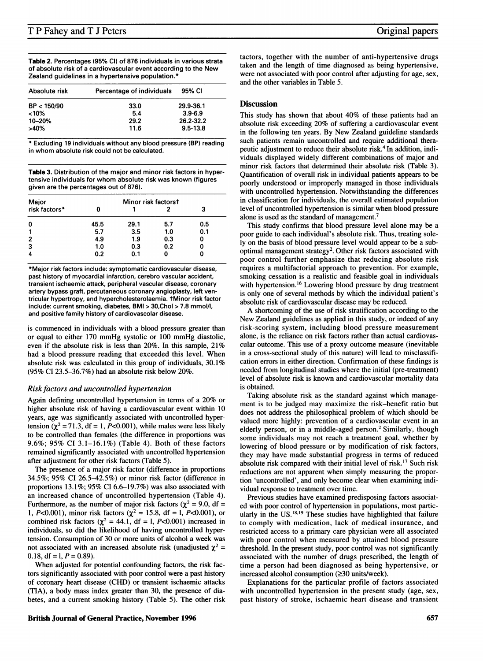Table 2. Percentages (95% Cl) of 876 individuals in various strata of absolute risk of <sup>a</sup> cardiovascular event according to the New Zealand guidelines in a hypertensive population.\*

| Absolute risk | Percentage of individuals | 95% CI       |
|---------------|---------------------------|--------------|
| BP < 150/90   | 33.0                      | 29.9-36.1    |
| $< 10\%$      | 5.4                       | $3.9 - 6.9$  |
| 10-20%        | 29.2                      | 26.2-32.2    |
| $>40\%$       | 11.6                      | $9.5 - 13.8$ |

\* Excluding 19 individuals without any blood pressure (BP) reading in whom absolute risk could not be calculated.

Table 3. Distribution of the major and minor risk factors in hypertensive individuals for whom absolute risk was known (figures given are the percentages out of 876).

| Major          |      | Minor risk factorst |     |     |
|----------------|------|---------------------|-----|-----|
| risk factors*  |      |                     |     |     |
| 0              | 45.5 | 29.1                | 5.7 | 0.5 |
|                | 5.7  | 3.5                 | 1.0 | 0.1 |
| $\overline{2}$ | 4.9  | 1.9                 | 0.3 |     |
| 3              | 1.0  | 0.3                 | 0.2 |     |
| Δ              | 0.2  | 0.1                 |     |     |

\*Major risk factors include: symptomatic cardiovascular disease, past history of myocardial infarction, cerebro vascular accident, transient ischaemic attack, peripheral vascular disease, coronary artery bypass graft, percutaneous coronary angioplasty, left ventricular hypertropy, and hypercholesterolaemia. tMinor risk factor include: current smoking, diabetes, BMI > 30,Chol > 7.8 mmol/l, and positive family history of cardiovascolar disease.

is commenced in individuals with a blood pressure greater than or equal to either <sup>170</sup> mmHg systolic or <sup>100</sup> mmHg diastolic, even if the absolute risk is less than 20%. In this sample, 21% had a blood pressure reading that exceeded this level. When absolute risk was calculated in this group of individuals, 30.1% (95% CI 23.5-36.7%) had an absolute risk below 20%.

#### Risk factors and uncontrolled hypertension

Again defining uncontrolled hypertension in terms of a 20% or higher absolute risk of having a cardiovascular event within 10 years, age was significantly associated with uncontrolled hypertension  $(\chi^2 = 71.3)$ , df = 1, P<0.001), while males were less likely to be controlled than females (the difference in proportions was 9.6%; 95% CI 3.1-16.1%) (Table 4). Both of these factors remained significantly associated with uncontrolled hypertension after adjustment for other risk factors (Table 5).

The presence of a major risk factor (difference in proportions 34.5%; 95% CI 26.5-42.5%) or minor risk factor (difference in proportions 13.1%; 95% CI 6.6-19.7%) was also associated with an increased chance of uncontrolled hypertension (Table 4). Furthermore, as the number of major risk factors ( $\chi^2$  = 9.0, df = 1, P<0.001), minor risk factors ( $\chi^2 = 15.8$ , df = 1, P<0.001), or combined risk factors ( $\chi^2$  = 44.1, df = 1, P<0.001) increased in individuals, so did the likelihood of having uncontrolled hypertension. Consumption of 30 or more units of alcohol a week was not associated with an increased absolute risk (unadjusted  $\chi^2$  = 0.18, df = 1,  $P = 0.89$ ).

When adjusted for potential confounding factors, the risk factors significantly associated with poor control were a past history of coronary heart disease (CHD) or transient ischaemic attacks (TIA), a body mass index greater than 30, the presence of diabetes, and a current smoking history (Table 5). The other risk tactors, together with the number of anti-hypertensive drugs taken and the length of time diagnosed as being hypertensive, were not associated with poor control after adjusting for age, sex, and the other variables in Table 5.

#### **Discussion**

This study has shown that about 40% of these patients had an absolute risk exceeding 20% of suffering a cardiovascular event in the following ten years. By New Zealand guideline standards such patients remain uncontrolled and require additional therapeutic adjustment to reduce their absolute risk.4 In addition, individuals displayed widely different combinations of major and minor risk factors that determined their absolute risk (Table 3). Quantification of overall risk in individual patients appears to be poorly understood or improperly managed in those individuals with uncontrolled hypertension. Notwithstanding the differences in classification for individuals, the overall estimated population level of uncontrolled hypertension is similar when blood pressure alone is used as the standard of management.<sup>7</sup>

This study confirms that blood pressure level alone may be a poor guide to each individual's absolute risk. Thus, treating solely on the basis of blood pressure level would appear to be a suboptimal management strategy<sup>2</sup>. Other risk factors associated with poor control further emphasize that reducing absolute risk requires a multifactorial approach to prevention. For example, smoking cessation is a realistic and feasible goal in individuals with hypertension.<sup>16</sup> Lowering blood pressure by drug treatment is only one of several methods by which the individual patient's absolute risk of cardiovascular disease may be reduced.

A shortcoming of the use of risk stratification according to the New Zealand guidelines as applied in this study, or indeed of any risk-scoring system, including blood pressure measurement alone, is the reliance on risk factors rather than actual cardiovascular outcome. This use of a proxy outcome measure (inevitable in a cross-sectional study of this nature) will lead to misclassification errors in either direction. Confirmation of these findings is needed from longitudinal studies where the initial (pre-treatment) level of absolute risk is known and cardiovascular mortality data is obtained.

Taking absolute risk as the standard against which management is to be judged may maximize the risk-benefit ratio but does not address the philosophical problem of which should be valued more highly: prevention of a cardiovascular event in an elderly person, or in a middle-aged person.<sup>2</sup> Similarly, though some individuals may not reach a treatment goal, whether by lowering of blood pressure or by modification of risk factors, they may have made substantial progress in terms of reduced absolute risk compared with their initial level of risk.'7 Such risk reductions are not apparent when simply measuring the proportion 'uncontrolled', and only become clear when examining individual response to treatment over time.

Previous studies have examined predisposing factors associated with poor control of hypertension in populations, most particularly in the US.<sup>18,19</sup> These studies have highlighted that failure to comply with medication, lack of medical insurance, and restricted access to a primary care physician were all associated with poor control when measured by attained blood pressure threshold. In the present study, poor control was not significantly associated with the number of drugs prescribed, the length of time a person had been diagnosed as being hypertensive, or increased alcohol consumption  $(\geq 30 \text{ units/week})$ .

Explanations for the particular profile of factors associated with uncontrolled hypertension in the present study (age, sex, past history of stroke, ischaemic heart disease and transient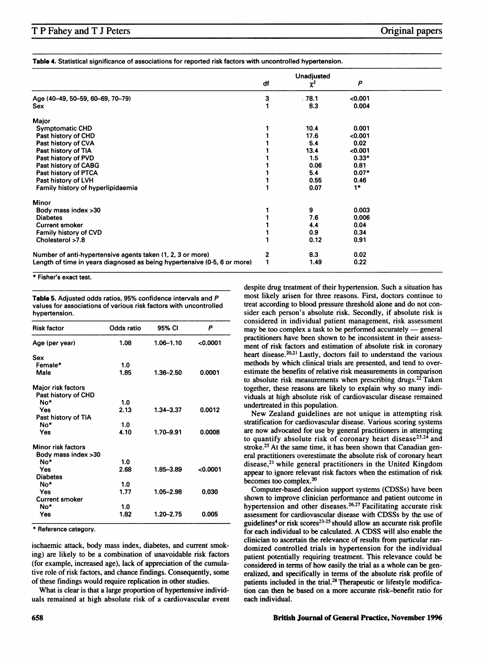Table 4. Statistical significance of associations for reported risk factors with uncontrolled hypertension.

|                                                                          |    | <b>Unadjusted</b> |         |  |
|--------------------------------------------------------------------------|----|-------------------|---------|--|
|                                                                          | df | $\chi^2$          | P       |  |
| Age (40-49, 50-59, 60-69, 70-79)                                         | 3  | .78.1             | < 0.001 |  |
| Sex                                                                      |    | 8.3               | 0.004   |  |
| Major                                                                    |    |                   |         |  |
| <b>Symptomatic CHD</b>                                                   |    | 10.4              | 0.001   |  |
| Past history of CHD                                                      |    | 17.6              | < 0.001 |  |
| Past history of CVA                                                      |    | 5.4               | 0.02    |  |
| Past history of TIA                                                      |    | 13.4              | < 0.001 |  |
| Past history of PVD                                                      |    | 1.5               | $0.33*$ |  |
| Past history of CABG                                                     |    | 0.06              | 0.81    |  |
| Past history of PTCA                                                     |    | 5.4               | $0.07*$ |  |
| Past history of LVH                                                      |    | 0.55              | 0.46    |  |
| Family history of hyperlipidaemia                                        |    | 0.07              | $1*$    |  |
| <b>Minor</b>                                                             |    |                   |         |  |
| Body mass index >30                                                      |    | 9                 | 0.003   |  |
| <b>Diabetes</b>                                                          |    | 7.6               | 0.006   |  |
| <b>Current smoker</b>                                                    |    | 4.4               | 0.04    |  |
| Family history of CVD                                                    |    | 0.9               | 0.34    |  |
| Cholesterol >7.8                                                         |    | 0.12              | 0.91    |  |
| Number of anti-hypertensive agents taken (1, 2, 3 or more)               | 2  | 8.3               | 0.02    |  |
| Length of time in years diagnosed as being hypertensive (0-5, 6 or more) |    | 1.49              | 0.22    |  |

\* Fisher's exact test.

Table 5. Adjusted odds ratios, 95% confidence intervals and P values for associations of various risk factors with uncontrolled hypertension.

| <b>Risk factor</b>    | Odds ratio | 95% CI    | P        |
|-----------------------|------------|-----------|----------|
| Age (per year)        | 1.08       | 1.06-1.10 | 0.0001   |
| Sex                   |            |           |          |
| Female*               | 1.0        |           |          |
| Male                  | 1.85       | 1.36-2.50 | 0.0001   |
| Major risk factors    |            |           |          |
| Past history of CHD   |            |           |          |
| No*                   | 1.0        |           |          |
| Yes                   | 2.13       | 1.34–3.37 | 0.0012   |
| Past history of TIA   |            |           |          |
| No*                   | 1.0        |           |          |
| Yes                   | 4.10       | 1.70-9.91 | 0.0008   |
| Minor risk factors    |            |           |          |
| Body mass index >30   |            |           |          |
| No*                   | 10         |           |          |
| Yes                   | 2.68       | 1.85-3.89 | < 0.0001 |
| <b>Diabetes</b>       |            |           |          |
| No*                   | 1.0        |           |          |
| Yes                   | 1.77       | 1.05-2.98 | 0.030    |
| <b>Current smoker</b> |            |           |          |
| No*                   | 1.0        |           |          |
| Yes                   | 1.82       | 1.20-2.75 | 0.005    |

\* Reference category.

ischaemic attack, body mass index, diabetes, and current smoking) are likely to be a combination of unavoidable risk factors (for example, increased age), lack of appreciation of the cumulative role of risk factors, and chance findings. Consequently, some of these findings would require replication in other studies.

What is clear is that a large proportion of hypertensive individuals remained at high absolute risk of a cardiovascular event despite drug treatment of their hypertension. Such a situation has most likely arisen for three reasons. First, doctors continue to treat according to blood pressure threshold alone and do not consider each person's absolute risk. Secondly, if absolute risk is considered in individual patient management, risk assessment may be too complex a task to be performed accurately  $-$  general practitioners have been shown to be inconsistent in their assessment of risk factors and estimation of absolute risk in coronary heart disease.<sup>20,21</sup> Lastly, doctors fail to understand the various methods by which clinical trials are presented, and tend to overestimate the benefits of relative risk measurements in comparison to absolute risk measurements when prescribing drugs.<sup>22</sup> Taken together, these reasons are likely to explain why so many individuals at high absolute risk of cardiovascular disease remained undertreated in this population.

New Zealand guidelines are not unique in attempting risk stratification for cardiovascular disease. Various scoring systems are now advocated for use by general practitioners in attempting to quantify absolute risk of coronary heart disease<sup>23,24</sup> and stroke.<sup>25</sup> At the same time, it has been shown that Canadian general practitioners overestimate the absolute risk of coronary heart disease,2' while general practitioners in the United Kingdom appear to ignore relevant risk factors when the estimation of risk becomes too complex.20

Computer-based decision support systems (CDSSs) have been shown to improve clinician performance and patient outcome in hypertension and other diseases.<sup>26,27</sup> Facilitating accurate risk assessment for cardiovascular disease with CDSSs by the use of guidelines<sup>4</sup> or risk scores<sup>23-25</sup> should allow an accurate risk profile for each individual to be calculated. A CDSS will also enable the clinician to ascertain the relevance of results from particular randomized controlled trials in hypertension for the individual patient potentially requiring treatment. This relevance could be considered in terms of how easily the trial as a whole can be generalized, and specifically in terms of the absolute risk profile of patients included in the trial.<sup>28</sup> Therapeutic or lifestyle modification can then be based on a more accurate risk-benefit ratio for each individual.